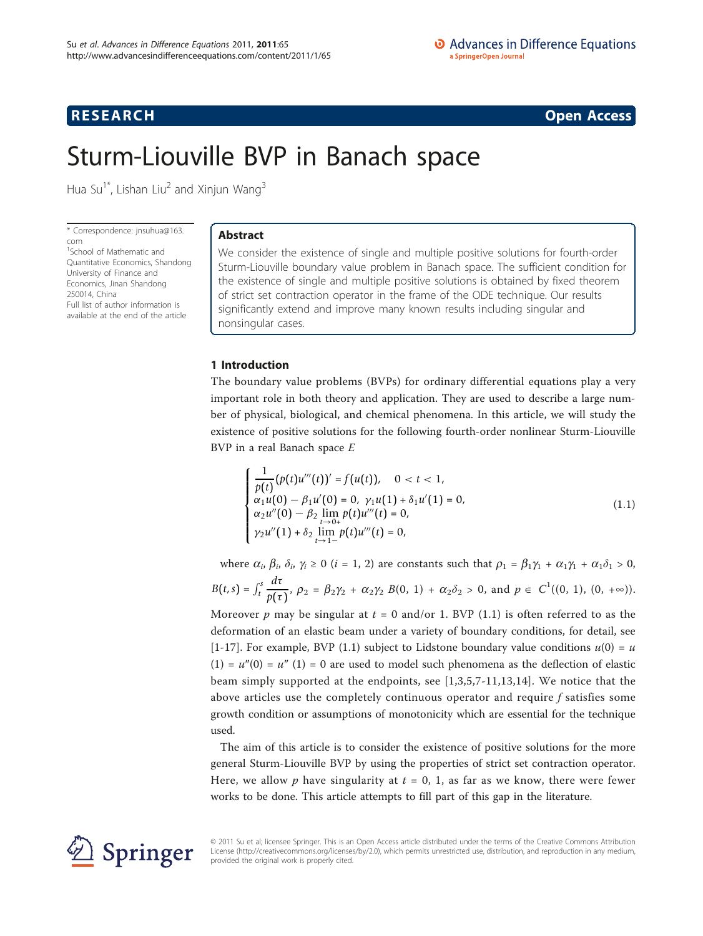# **RESEARCH CONSTRUCTION CONSTRUCTS**

# Sturm-Liouville BVP in Banach space

Hua Su<sup>1\*</sup>, Lishan Liu<sup>2</sup> and Xinjun Wang<sup>3</sup>

\* Correspondence: [jnsuhua@163.](mailto:jnsuhua@163.com) [com](mailto:jnsuhua@163.com)

<sup>1</sup>School of Mathematic and Quantitative Economics, Shandong University of Finance and Economics, Jinan Shandong 250014, China Full list of author information is available at the end of the article

# Abstract

We consider the existence of single and multiple positive solutions for fourth-order Sturm-Liouville boundary value problem in Banach space. The sufficient condition for the existence of single and multiple positive solutions is obtained by fixed theorem of strict set contraction operator in the frame of the ODE technique. Our results significantly extend and improve many known results including singular and nonsingular cases.

## 1 Introduction

The boundary value problems (BVPs) for ordinary differential equations play a very important role in both theory and application. They are used to describe a large number of physical, biological, and chemical phenomena. In this article, we will study the existence of positive solutions for the following fourth-order nonlinear Sturm-Liouville BVP in a real Banach space E

$$
\begin{cases}\n\frac{1}{p(t)}(p(t)u'''(t))' = f(u(t)), & 0 < t < 1, \\
\alpha_1 u(0) - \beta_1 u'(0) = 0, & \gamma_1 u(1) + \delta_1 u'(1) = 0, \\
\alpha_2 u''(0) - \beta_2 \lim_{t \to 0+} p(t) u'''(t) = 0, \\
\gamma_2 u''(1) + \delta_2 \lim_{t \to 1-} p(t) u'''(t) = 0,\n\end{cases}
$$
\n(1.1)

where  $\alpha_i$ ,  $\beta_i$ ,  $\delta_i$ ,  $\gamma_i \ge 0$  (*i* = 1, 2) are constants such that  $\rho_1 = \beta_1 \gamma_1 + \alpha_1 \gamma_1 + \alpha_1 \delta_1 > 0$ ,  $B(t,s) = \int_t^s$ *d*τ  $\frac{di}{p(\tau)}$ ,  $\rho_2 = \beta_2 \gamma_2 + \alpha_2 \gamma_2 B(0, 1) + \alpha_2 \delta_2 > 0$ , and  $p \in C^1((0, 1), (0, +\infty))$ .

Moreover p may be singular at  $t = 0$  and/or 1. BVP (1.1) is often referred to as the deformation of an elastic beam under a variety of boundary conditions, for detail, see [[1-](#page-10-0)[17](#page-11-0)]. For example, BVP (1.1) subject to Lidstone boundary value conditions  $u(0) = u$  $(1) = u''(0) = u''(1) = 0$  are used to model such phenomena as the deflection of elastic beam simply supported at the endpoints, see [\[1](#page-10-0),[3,5](#page-10-0),[7-11,13,14](#page-10-0)]. We notice that the above articles use the completely continuous operator and require  $f$  satisfies some growth condition or assumptions of monotonicity which are essential for the technique used.

The aim of this article is to consider the existence of positive solutions for the more general Sturm-Liouville BVP by using the properties of strict set contraction operator. Here, we allow p have singularity at  $t = 0$ , 1, as far as we know, there were fewer works to be done. This article attempts to fill part of this gap in the literature.



© 2011 Su et al; licensee Springer. This is an Open Access article distributed under the terms of the Creative Commons Attribution License [\(http://creativecommons.org/licenses/by/2.0](http://creativecommons.org/licenses/by/2.0)), which permits unrestricted use, distribution, and reproduction in any medium, provided the original work is properly cited.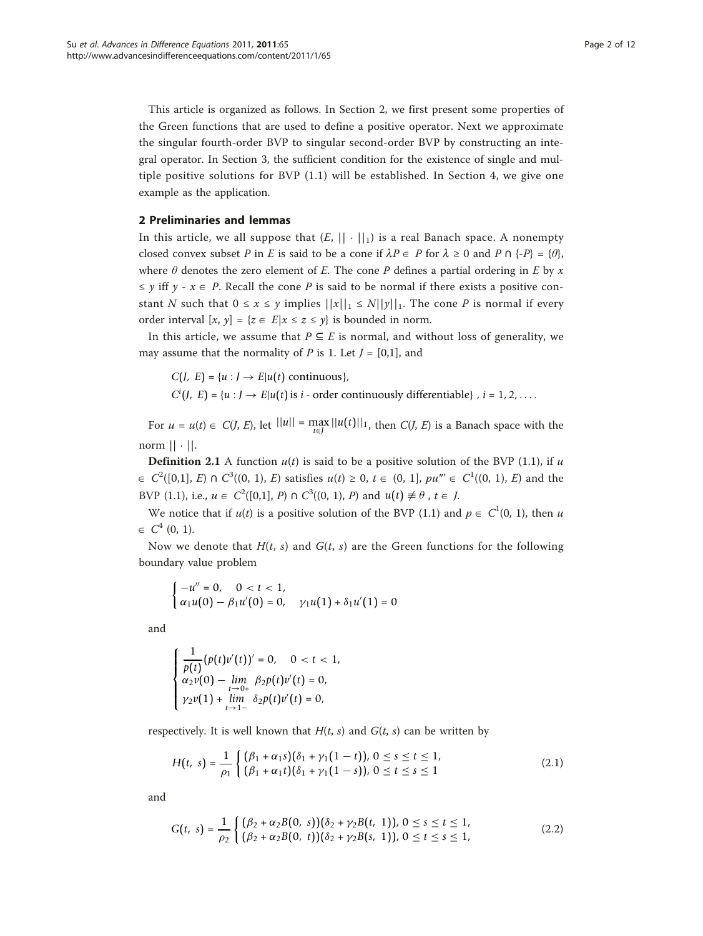This article is organized as follows. In Section 2, we first present some properties of the Green functions that are used to define a positive operator. Next we approximate the singular fourth-order BVP to singular second-order BVP by constructing an integral operator. In Section 3, the sufficient condition for the existence of single and multiple positive solutions for BVP (1.1) will be established. In Section 4, we give one example as the application.

## 2 Preliminaries and lemmas

In this article, we all suppose that  $(E, || \cdot ||_1)$  is a real Banach space. A nonempty closed convex subset P in E is said to be a cone if  $\lambda P \in P$  for  $\lambda \ge 0$  and P  $\cap$  {-P} = { $\theta$ }, where  $\theta$  denotes the zero element of E. The cone P defines a partial ordering in E by x  $\leq \gamma$  iff  $\gamma$  -  $x \in P$ . Recall the cone P is said to be normal if there exists a positive constant N such that  $0 \le x \le y$  implies  $||x||_1 \le N||y||_1$ . The cone P is normal if every order interval  $[x, y] = \{z \in E | x \le z \le y\}$  is bounded in norm.

In this article, we assume that  $P \subseteq E$  is normal, and without loss of generality, we may assume that the normality of P is 1. Let  $J = [0,1]$ , and

 $C(J, E) = \{u : J \rightarrow E | u(t) \text{ continuous}\},\$ 

 $C^{i}(J, E) = \{u : J \rightarrow E | u(t) \text{ is } i \text{ - order continuously differentiable}\}, i = 1, 2, \ldots$ 

For  $u = u(t) \in C(J, E)$ , let  $||u|| = \max_{t \in J} ||u(t)||_1$ , then  $C(J, E)$  is a Banach space with the norm  $|| \cdot ||$ .

**Definition 2.1** A function  $u(t)$  is said to be a positive solution of the BVP (1.1), if u  $\in C^2([0,1], E) \cap C^3((0, 1), E)$  satisfies  $u(t) \ge 0, t \in (0, 1], pu''' \in C^1((0, 1), E)$  and the BVP (1.1), i.e.,  $u \in C^2([0,1], P) \cap C^3((0, 1), P)$  and  $u(t) \neq \theta$ ,  $t \in J$ .

We notice that if  $u(t)$  is a positive solution of the BVP (1.1) and  $p \in C^1(0, 1)$ , then u  $\in C^4$  (0, 1).

Now we denote that  $H(t, s)$  and  $G(t, s)$  are the Green functions for the following boundary value problem

$$
\begin{cases}\n-u'' = 0, & 0 < t < 1, \\
\alpha_1 u(0) - \beta_1 u'(0) = 0, & \gamma_1 u(1) + \delta_1 u'(1) = 0\n\end{cases}
$$

and

$$
\begin{cases} \frac{1}{p(t)} (p(t)v'(t))' = 0, & 0 < t < 1, \\ \alpha_2 v(0) - \lim_{t \to 0+} \beta_2 p(t)v'(t) = 0, \\ \gamma_2 v(1) + \lim_{t \to 1-} \delta_2 p(t)v'(t) = 0, \end{cases}
$$

respectively. It is well known that  $H(t, s)$  and  $G(t, s)$  can be written by

$$
H(t, s) = \frac{1}{\rho_1} \begin{cases} (\beta_1 + \alpha_1 s)(\delta_1 + \gamma_1 (1 - t)), 0 \le s \le t \le 1, \\ (\beta_1 + \alpha_1 t)(\delta_1 + \gamma_1 (1 - s)), 0 \le t \le s \le 1 \end{cases}
$$
(2.1)

and

$$
G(t, s) = \frac{1}{\rho_2} \begin{cases} (\beta_2 + \alpha_2 B(0, s))(\delta_2 + \gamma_2 B(t, 1)), 0 \le s \le t \le 1, \\ (\beta_2 + \alpha_2 B(0, t))(\delta_2 + \gamma_2 B(s, 1)), 0 \le t \le s \le 1, \end{cases}
$$
(2.2)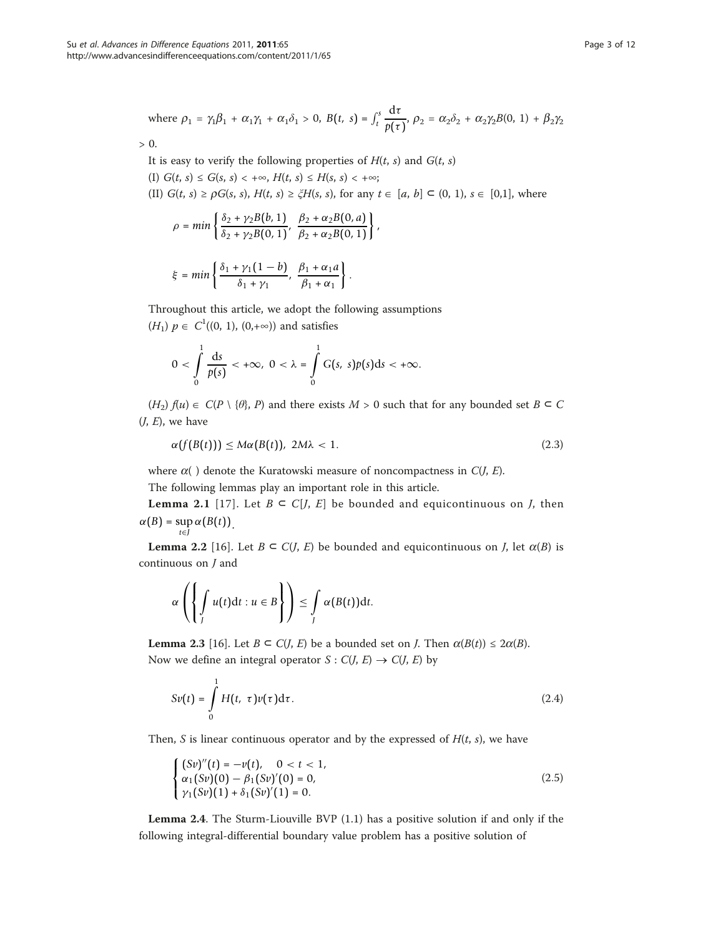where 
$$
\rho_1 = \gamma_1 \beta_1 + \alpha_1 \gamma_1 + \alpha_1 \delta_1 > 0
$$
,  $B(t, s) = \int_t^s \frac{d\tau}{p(\tau)}, \rho_2 = \alpha_2 \delta_2 + \alpha_2 \gamma_2 B(0, 1) + \beta_2 \gamma_2$ 

 $> 0.$ 

It is easy to verify the following properties of  $H(t, s)$  and  $G(t, s)$ 

(I)  $G(t, s) \leq G(s, s) < +\infty$ ,  $H(t, s) \leq H(s, s) < +\infty$ ; (II)  $G(t, s) \ge \rho G(s, s), H(t, s) \ge \zeta H(s, s)$ , for any  $t \in [a, b] \subset (0, 1), s \in [0,1]$ , where

.

,

$$
\rho = \min \left\{ \frac{\delta_2 + \gamma_2 B(b, 1)}{\delta_2 + \gamma_2 B(0, 1)}, \frac{\beta_2 + \alpha_2 B(0, a)}{\beta_2 + \alpha_2 B(0, 1)} \right\}
$$

$$
\xi = \min\left\{\frac{\delta_1 + \gamma_1(1-b)}{\delta_1 + \gamma_1}, \frac{\beta_1 + \alpha_1 a}{\beta_1 + \alpha_1}\right\}
$$

Throughout this article, we adopt the following assumptions  $(H_1)$   $p \in C^1((0, 1), (0, +\infty))$  and satisfies

$$
0 < \int_{0}^{1} \frac{ds}{p(s)} < +\infty, \ 0 < \lambda = \int_{0}^{1} G(s, s)p(s)ds < +\infty.
$$

 $(H_2)$   $f(u) \in C(P \setminus \{\theta\}, P)$  and there exists  $M > 0$  such that for any bounded set  $B \subseteq C$  $(J, E)$ , we have

$$
\alpha(f(B(t))) \leq M\alpha(B(t)), \ 2M\lambda < 1. \tag{2.3}
$$

where  $\alpha$ ( ) denote the Kuratowski measure of noncompactness in  $C(J, E)$ .

The following lemmas play an important role in this article.

**Lemma 2.1** [[17\]](#page-11-0). Let  $B \subset C[J, E]$  be bounded and equicontinuous on *J*, then  $\alpha(B)$  = sup  $\alpha(B(t))$ . *t*∈*J*

**Lemma 2.2** [\[16](#page-11-0)]. Let  $B \subset C(J, E)$  be bounded and equicontinuous on *J*, let  $\alpha(B)$  is continuous on J and

$$
\alpha\left(\left\{\int\limits_J u(t)\mathrm{d}t : u \in B\right\}\right) \leq \int\limits_J \alpha(B(t))\mathrm{d}t.
$$

**Lemma 2.3** [\[16\]](#page-11-0). Let  $B \subset C(J, E)$  be a bounded set on *J*. Then  $\alpha(B(t)) \leq 2\alpha(B)$ . Now we define an integral operator  $S: C(J, E) \to C(J, E)$  by

$$
Sv(t) = \int_{0}^{1} H(t, \tau)v(\tau)d\tau.
$$
 (2.4)

Then, S is linear continuous operator and by the expressed of  $H(t, s)$ , we have

$$
\begin{cases}\n(Sv)''(t) = -v(t), & 0 < t < 1, \\
\alpha_1(Sv)(0) - \beta_1(Sv)'(0) = 0, \\
\gamma_1(Sv)(1) + \delta_1(Sv)'(1) = 0.\n\end{cases}
$$
\n(2.5)

Lemma 2.4. The Sturm-Liouville BVP (1.1) has a positive solution if and only if the following integral-differential boundary value problem has a positive solution of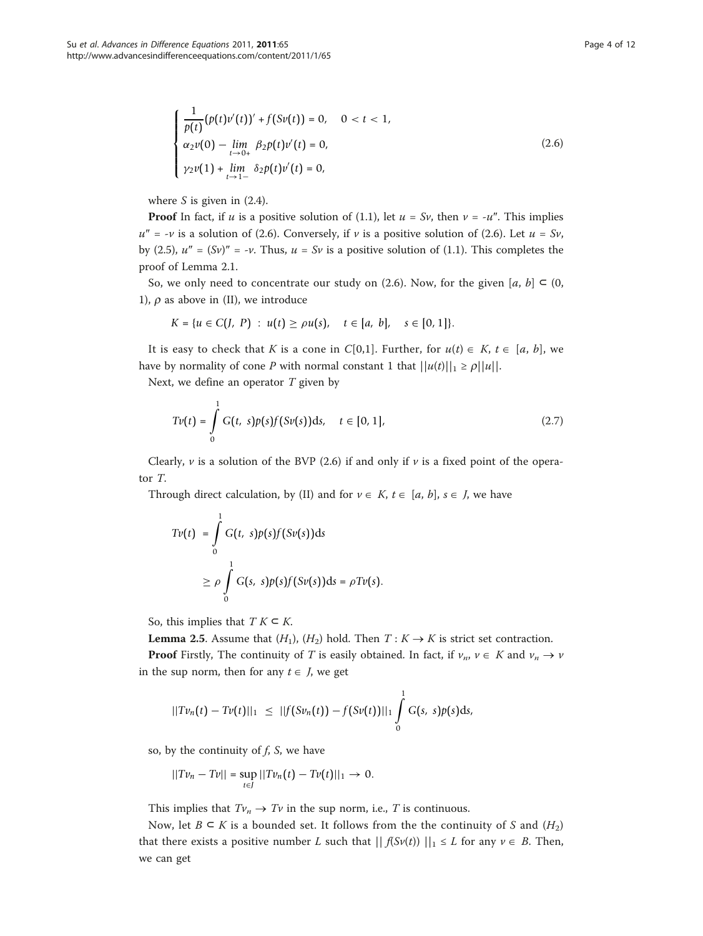$$
\begin{cases}\n\frac{1}{p(t)}(p(t)v'(t))' + f(Sv(t)) = 0, & 0 < t < 1, \\
\alpha_2 v(0) - \lim_{t \to 0+} \beta_2 p(t)v'(t) = 0, \\
\gamma_2 v(1) + \lim_{t \to 1-} \delta_2 p(t)v'(t) = 0,\n\end{cases}
$$
\n(2.6)

where  $S$  is given in  $(2.4)$ .

**Proof** In fact, if u is a positive solution of (1.1), let  $u = Sv$ , then  $v = -u''$ . This implies  $u'' = -v$  is a solution of (2.6). Conversely, if v is a positive solution of (2.6). Let  $u = Sv$ , by (2.5),  $u'' = (Sv)'' = -v$ . Thus,  $u = Sv$  is a positive solution of (1.1). This completes the proof of Lemma 2.1.

So, we only need to concentrate our study on (2.6). Now, for the given [a, b]  $\subset$  (0, 1),  $\rho$  as above in (II), we introduce

$$
K = \{u \in C(J, P) : u(t) \ge \rho u(s), \quad t \in [a, b], \quad s \in [0, 1]\}.
$$

It is easy to check that K is a cone in C[0,1]. Further, for  $u(t) \in K$ ,  $t \in [a, b]$ , we have by normality of cone P with normal constant 1 that  $||u(t)||_1 \ge \rho ||u||$ .

Next, we define an operator  $T$  given by

$$
Tv(t) = \int_{0}^{1} G(t, s)p(s)f(sv(s))ds, \quad t \in [0, 1],
$$
\n(2.7)

Clearly,  $\nu$  is a solution of the BVP (2.6) if and only if  $\nu$  is a fixed point of the operator T.

Through direct calculation, by (II) and for  $v \in K$ ,  $t \in [a, b]$ ,  $s \in J$ , we have

$$
Tv(t) = \int_{0}^{1} G(t, s)p(s)f(Sv(s))ds
$$
  
\n
$$
\geq \rho \int_{0}^{1} G(s, s)p(s)f(Sv(s))ds = \rho Tv(s).
$$

So, this implies that  $T K \subseteq K$ .

**Lemma 2.5.** Assume that  $(H_1)$ ,  $(H_2)$  hold. Then  $T: K \to K$  is strict set contraction.

**Proof** Firstly, The continuity of T is easily obtained. In fact, if  $v_n$ ,  $v \in K$  and  $v_n \to v$ in the sup norm, then for any  $t \in J$ , we get

$$
||Tv_n(t)-Tv(t)||_1 \leq ||f(Sv_n(t))-f(Sv(t))||_1 \int_0^1 G(s,s)p(s)ds,
$$

so, by the continuity of  $f$ ,  $S$ , we have

$$
||Tv_n-Tv||=\sup_{t\in J}||Tv_n(t)-Tv(t)||_1\to 0.
$$

This implies that  $Tv_n \to Tv$  in the sup norm, i.e., T is continuous.

Now, let  $B \subseteq K$  is a bounded set. It follows from the the continuity of S and  $(H_2)$ that there exists a positive number L such that  $|| f(Sv(t)) ||_1 \leq L$  for any  $v \in B$ . Then, we can get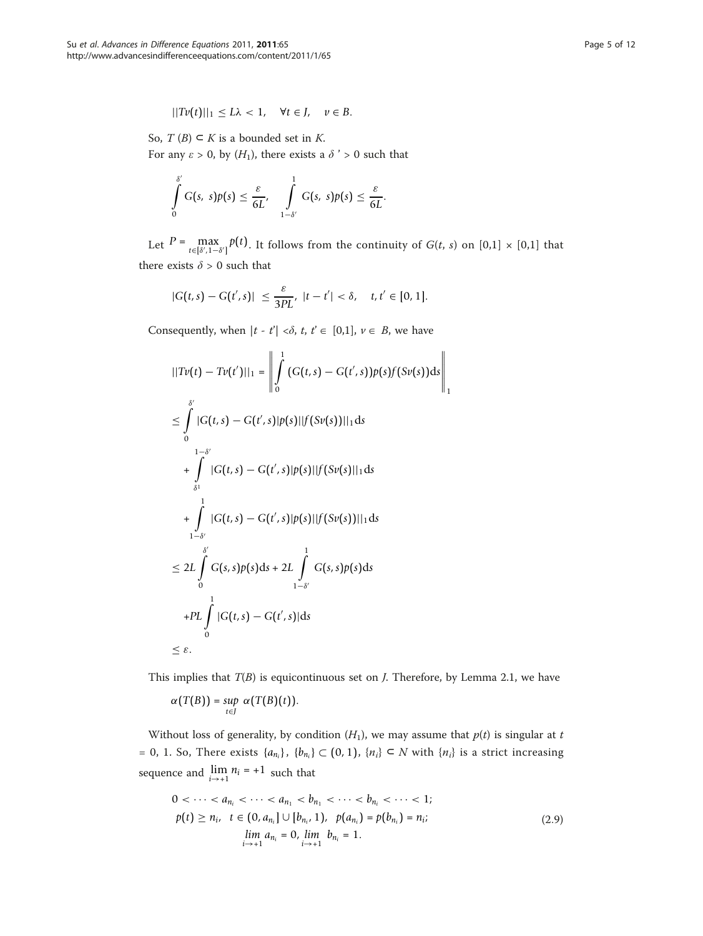$$
||Tv(t)||_1 \leq L\lambda < 1, \quad \forall t \in J, \quad v \in B.
$$

So,  $T(B) \subset K$  is a bounded set in K. For any  $\varepsilon > 0$ , by  $(H_1)$ , there exists a  $\delta > 0$  such that

$$
\int\limits_{0}^{\delta'} G(s, s)p(s) \leq \frac{\varepsilon}{6L'}, \quad \int\limits_{1-\delta'}^{1} G(s, s)p(s) \leq \frac{\varepsilon}{6L}.
$$

Let  $P = \max_{t \in [\delta', 1 - \delta']} p(t)$ . It follows from the continuity of  $G(t, s)$  on  $[0,1] \times [0,1]$  that there exists  $\delta > 0$  such that

$$
|G(t,s) - G(t',s)| \leq \frac{\varepsilon}{3PL}, \ |t-t'| < \delta, \quad t, t' \in [0,1].
$$

Consequently, when  $|t - t'| < \delta$ ,  $t, t' \in [0,1], v \in B$ , we have

$$
||Tv(t) - Tv(t')||_1 = \left\| \int_0^1 (G(t,s) - G(t',s))p(s)f(Sv(s))ds \right\|_1
$$
  
\n
$$
\leq \int_0^{s'} |G(t,s) - G(t',s)|p(s)||f(Sv(s))||_1 ds
$$
  
\n
$$
+ \int_{\delta^1} |G(t,s) - G(t',s)|p(s)||f(Sv(s)||_1 ds)
$$
  
\n
$$
+ \int_{1-\delta'}^1 |G(t,s) - G(t',s)|p(s)||f(Sv(s))||_1 ds
$$
  
\n
$$
\leq 2L \int_0^{s'} G(s,s)p(s)ds + 2L \int_{1-\delta'}^1 G(s,s)p(s)ds
$$
  
\n
$$
+ PL \int_0^1 |G(t,s) - G(t',s)| ds
$$
  
\n
$$
\leq \varepsilon.
$$

This implies that  $T(B)$  is equicontinuous set on *J*. Therefore, by Lemma 2.1, we have

$$
\alpha\big(T\big(B\big)\big)=\sup_{t\in J}\,\,\alpha\big(T\big(B\big)\big(t\big)\big).
$$

Without loss of generality, by condition  $(H_1)$ , we may assume that  $p(t)$  is singular at t = 0, 1. So, There exists  $\{a_{n_i}\}, \{b_{n_i}\}$  ⊂ (0, 1),  $\{n_i\}$  ⊂ N with  $\{n_i\}$  is a strict increasing sequence and  $\lim_{i \to +1} n_i = +1$  such that

$$
0 < \cdots < a_{n_i} < \cdots < a_{n_1} < b_{n_1} < \cdots < b_{n_i} < \cdots < 1; \\
 p(t) \ge n_i, \quad t \in (0, a_{n_i}] \cup [b_{n_i}, 1), \quad p(a_{n_i}) = p(b_{n_i}) = n_i; \\
 \lim_{i \to +1} a_{n_i} = 0, \lim_{i \to +1} b_{n_i} = 1. \tag{2.9}
$$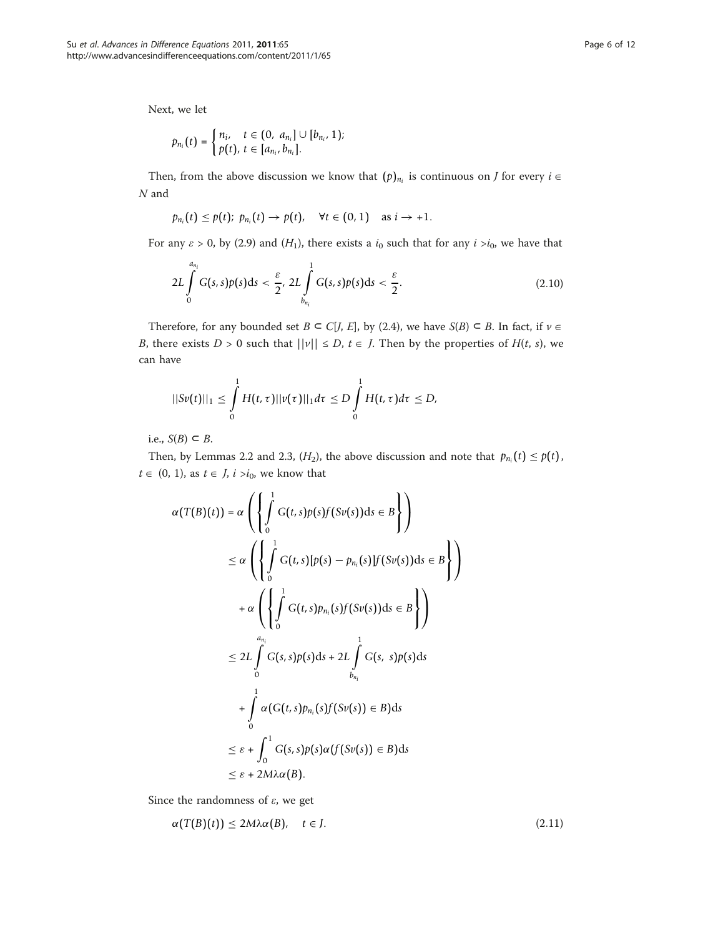Next, we let

$$
p_{n_i}(t) = \begin{cases} n_i, & t \in (0, a_{n_i}] \cup [b_{n_i}, 1); \\ p(t), & t \in [a_{n_i}, b_{n_i}]. \end{cases}
$$

Then, from the above discussion we know that  $(p)_{n_i}$  is continuous on *J* for every  $i \in$  $N$  and

$$
p_{n_i}(t) \leq p(t); p_{n_i}(t) \rightarrow p(t), \quad \forall t \in (0,1) \quad \text{as } i \rightarrow +1.
$$

For any  $\varepsilon > 0$ , by (2.9) and (H<sub>1</sub>), there exists a  $i_0$  such that for any  $i > i_0$ , we have that

$$
2L\int\limits_{0}^{a_{n_i}}G(s,s)p(s)ds<\frac{\varepsilon}{2},\ 2L\int\limits_{b_{n_i}}^{1}G(s,s)p(s)ds<\frac{\varepsilon}{2}.
$$
\n(2.10)

Therefore, for any bounded set  $B \subseteq C[J, E]$ , by (2.4), we have  $S(B) \subseteq B$ . In fact, if  $\nu \in$ B, there exists  $D > 0$  such that  $||v|| \le D$ ,  $t \in J$ . Then by the properties of  $H(t, s)$ , we can have

$$
||Sv(t)||_1 \leq \int_0^1 H(t,\tau)||v(\tau)||_1 d\tau \leq D \int_0^1 H(t,\tau)d\tau \leq D,
$$

i.e.,  $S(B) \subset B$ .

Then, by Lemmas 2.2 and 2.3,  $(H_2)$ , the above discussion and note that  $p_{n_i}(t) \leq p(t)$ ,  $t \in (0, 1)$ , as  $t \in J$ ,  $i > i<sub>0</sub>$ , we know that

$$
\alpha(T(B)(t)) = \alpha \left( \left\{ \int_0^1 G(t,s)p(s)f(Sv(s))ds \in B \right\} \right)
$$
  
\n
$$
\leq \alpha \left( \left\{ \int_0^1 G(t,s)[p(s) - p_{n_i}(s)]f(Sv(s))ds \in B \right\} \right)
$$
  
\n
$$
+ \alpha \left( \left\{ \int_0^1 G(t,s)p_{n_i}(s)f(Sv(s))ds \in B \right\} \right)
$$
  
\n
$$
\leq 2L \int_0^1 G(s,s)p(s)ds + 2L \int_{b_{n_i}}^1 G(s,s)p(s)ds
$$
  
\n
$$
+ \int_0^1 \alpha(G(t,s)p_{n_i}(s)f(Sv(s)) \in B)ds
$$
  
\n
$$
\leq \varepsilon + \int_0^1 G(s,s)p(s)\alpha(f(Sv(s)) \in B)ds
$$
  
\n
$$
\leq \varepsilon + 2M\lambda \alpha(B).
$$

Since the randomness of  $\varepsilon$ , we get

$$
\alpha(T(B)(t)) \le 2M\lambda \alpha(B), \quad t \in J. \tag{2.11}
$$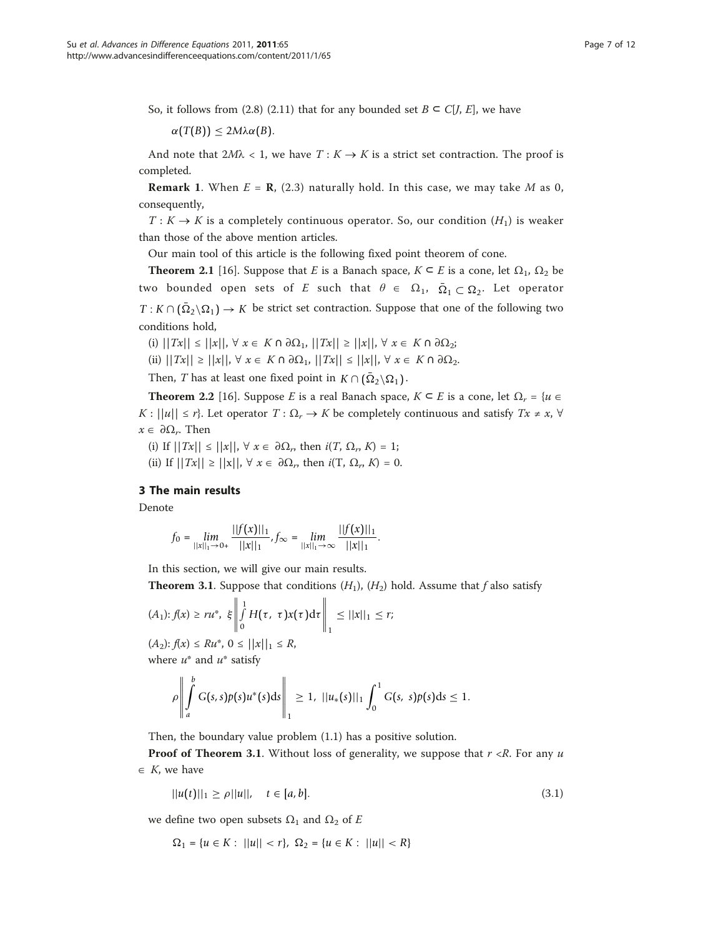So, it follows from (2.8) (2.11) that for any bounded set  $B \subset C[J, E]$ , we have

α(*T*(*B*)) ≤ 2*M*λα(*B*).

And note that  $2M\lambda < 1$ , we have  $T: K \rightarrow K$  is a strict set contraction. The proof is completed.

**Remark 1.** When  $E = \mathbf{R}$ , (2.3) naturally hold. In this case, we may take M as 0, consequently,

 $T: K \to K$  is a completely continuous operator. So, our condition  $(H_1)$  is weaker than those of the above mention articles.

Our main tool of this article is the following fixed point theorem of cone.

**Theorem 2.1** [[16\]](#page-11-0). Suppose that E is a Banach space,  $K \subseteq E$  is a cone, let  $\Omega_1$ ,  $\Omega_2$  be two bounded open sets of E such that  $\theta \in \Omega_1$ ,  $\overline{\Omega}_1 \subset \Omega_2$ . Let operator  $T: K \cap (\overline{\Omega}_2 \backslash \Omega_1) \to K$  be strict set contraction. Suppose that one of the following two conditions hold,

(i)  $||Tx|| \le ||x||$ ,  $\forall x \in K \cap \partial \Omega_1$ ,  $||Tx|| \ge ||x||$ ,  $\forall x \in K \cap \partial \Omega_2$ ;

(ii)  $||Tx|| \ge ||x||$ ,  $\forall x \in K \cap \partial \Omega_1$ ,  $||Tx|| \le ||x||$ ,  $\forall x \in K \cap \partial \Omega_2$ .

Then, *T* has at least one fixed point in  $K \cap (\bar{\Omega}_2 \backslash \Omega_1)$ .

**Theorem 2.2** [\[16](#page-11-0)]. Suppose E is a real Banach space,  $K \subseteq E$  is a cone, let  $\Omega_r = \{u \in E\}$  $K: ||u|| \leq r$ . Let operator  $T: \Omega_r \to K$  be completely continuous and satisfy  $Tx \neq x$ ,  $\forall$  $x \in \partial \Omega_r$ . Then

(i) If  $||Tx|| \le ||x||$ ,  $\forall x \in \partial \Omega_r$ , then  $i(T, \Omega_r, K) = 1$ ; (ii) If  $||Tx|| \ge ||x||$ ,  $\forall x \in \partial \Omega_r$ , then  $i(T, \Omega_r, K) = 0$ .

## 3 The main results

Denote

$$
f_0 = \lim_{||x||_1 \to 0+} \frac{||f(x)||_1}{||x||_1}, f_{\infty} = \lim_{||x||_1 \to \infty} \frac{||f(x)||_1}{||x||_1}.
$$

In this section, we will give our main results.

**Theorem 3.1.** Suppose that conditions  $(H_1)$ ,  $(H_2)$  hold. Assume that f also satisfy

$$
(A_1): f(x) \ge ru^*, \ \xi \left\| \int_0^1 H(\tau, \ \tau) x(\tau) d\tau \right\|_1 \le ||x||_1 \le r;
$$

 $(A_2): f(x) \leq Ru^*, 0 \leq ||x||_1 \leq R,$ where  $u^*$  and  $u^*$  satisfy

$$
\rho \left\| \int_a^b G(s,s) p(s) u^*(s) ds \right\|_1 \geq 1, \ ||u_*(s)||_1 \int_0^1 G(s,s) p(s) ds \leq 1.
$$

Then, the boundary value problem (1.1) has a positive solution.

**Proof of Theorem 3.1.** Without loss of generality, we suppose that  $r \ll R$ . For any u  $\in$  K, we have

$$
||u(t)||_1 \ge \rho ||u||, \quad t \in [a, b]. \tag{3.1}
$$

we define two open subsets  $\Omega_1$  and  $\Omega_2$  of E

$$
\Omega_1 = \{u \in K : ||u|| < r\}, \ \Omega_2 = \{u \in K : ||u|| < R\}
$$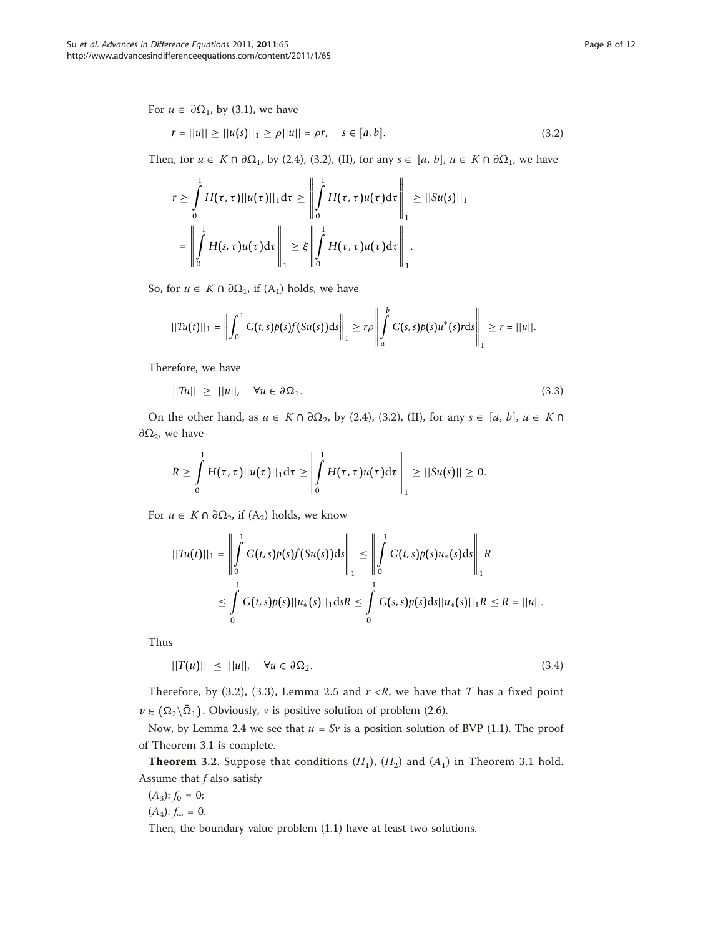For  $u \in \partial \Omega_1$ , by (3.1), we have

$$
r = ||u|| \ge ||u(s)||_1 \ge \rho ||u|| = \rho r, \quad s \in [a, b]. \tag{3.2}
$$

Then, for  $u \in K \cap \partial \Omega_1$ , by (2.4), (3.2), (II), for any  $s \in [a, b]$ ,  $u \in K \cap \partial \Omega_1$ , we have

$$
r \geq \int_{0}^{1} H(\tau, \tau) ||u(\tau)||_{1} d\tau \geq \left\| \int_{0}^{1} H(\tau, \tau) u(\tau) d\tau \right\|_{1} \geq ||Su(s)||_{1}
$$

$$
= \left\| \int_{0}^{1} H(s, \tau) u(\tau) d\tau \right\|_{1} \geq \xi \left\| \int_{0}^{1} H(\tau, \tau) u(\tau) d\tau \right\|_{1}.
$$

So, for  $u \in K \cap \partial \Omega_1$ , if  $(A_1)$  holds, we have

$$
||Tu(t)||_1 = \left\| \int_0^1 G(t,s)p(s)f(Su(s))ds \right\|_1 \ge r\rho \left\| \int_a^b G(s,s)p(s)u^*(s) r ds \right\|_1 \ge r = ||u||.
$$

Therefore, we have

$$
||Tu|| \ge ||u||, \quad \forall u \in \partial \Omega_1. \tag{3.3}
$$

On the other hand, as  $u \in K \cap \partial \Omega_2$ , by (2.4), (3.2), (II), for any  $s \in [a, b]$ ,  $u \in K \cap \Omega_2$  $∂Ω₂$ , we have

$$
R\geq \int\limits_0^1 H(\tau,\tau)||u(\tau)||_1 d\tau \geq \left\|\int\limits_0^1 H(\tau,\tau)u(\tau)d\tau\right\|_1 \geq ||Su(s)||\geq 0.
$$

For *u* ∈ *K* ∩ ∂Ω<sub>2</sub>, if (A<sub>2</sub>) holds, we know

$$
||Tu(t)||_1 = \left\| \int_0^1 G(t,s)p(s)f(Su(s))ds \right\|_1 \le \left\| \int_0^1 G(t,s)p(s)u_*(s)ds \right\|_1 R
$$
  

$$
\le \int_0^1 G(t,s)p(s)||u_*(s)||_1 ds R \le \int_0^1 G(s,s)p(s)ds||u_*(s)||_1 R \le R = ||u||.
$$

Thus

$$
||T(u)|| \le ||u||, \quad \forall u \in \partial \Omega_2. \tag{3.4}
$$

Therefore, by (3.2), (3.3), Lemma 2.5 and  $r \lt R$ , we have that T has a fixed point  $v \in (\Omega_2 \backslash \overline{\Omega}_1)$ . Obviously, *v* is positive solution of problem (2.6).

Now, by Lemma 2.4 we see that  $u = Sv$  is a position solution of BVP (1.1). The proof of Theorem 3.1 is complete.

**Theorem 3.2.** Suppose that conditions  $(H_1)$ ,  $(H_2)$  and  $(A_1)$  in Theorem 3.1 hold. Assume that  $f$  also satisfy

 $(A_3)$ :  $f_0 = 0$ ;  $(A_4)$ :  $f_{\infty} = 0$ .

Then, the boundary value problem (1.1) have at least two solutions.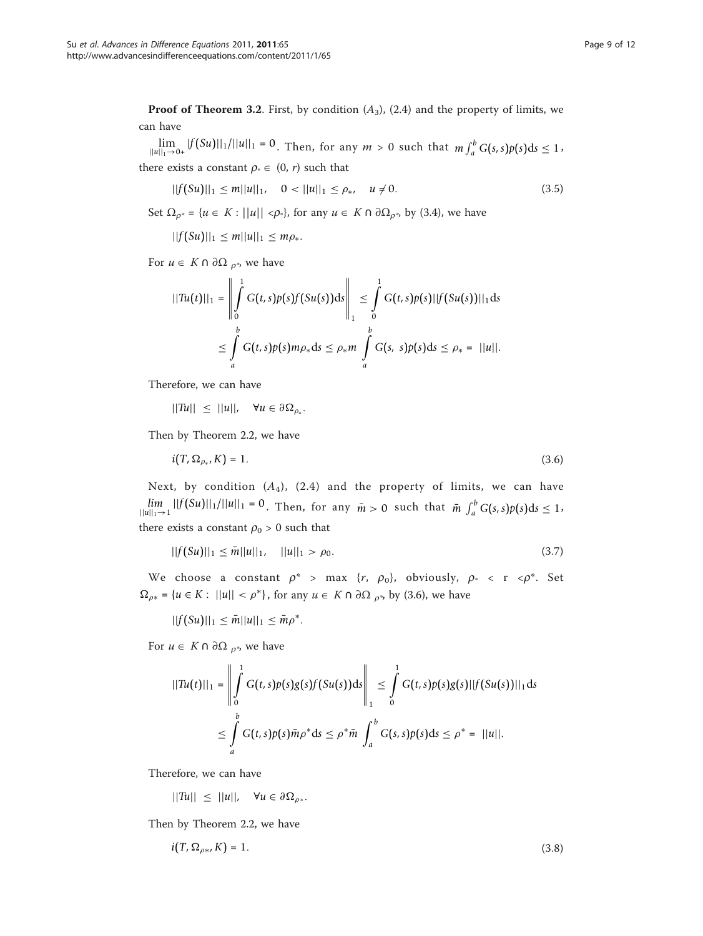**Proof of Theorem 3.2.** First, by condition  $(A_3)$ ,  $(2.4)$  and the property of limits, we can have

 $\lim_{\|u\|_1\to 0+} |f(Su)||_1/||u||_1 = 0$ . Then, for any  $m > 0$  such that  $m \int_a^b G(s,s)p(s)ds \leq 1$ , there exists a constant  $\rho_* \in (0, r)$  such that

$$
||f(Su)||_1 \le m||u||_1, \quad 0 < ||u||_1 \le \rho_*, \quad u \ne 0. \tag{3.5}
$$

Set  $\Omega_{\rho^*} = \{u \in K : ||u|| < \rho^*\}$ , for any  $u \in K \cap \partial \Omega_{\rho^*}$ , by (3.4), we have

 $||f(Su)||_1 \leq m||u||_1 \leq m\rho_*$ .

For *u* ∈ *K* ∩ ∂Ω <sub>*ρ*\*</sub>, we have

$$
||Tu(t)||_1 = \left\| \int_0^1 G(t,s)p(s)f(Su(s))ds \right\|_1 \leq \int_0^1 G(t,s)p(s)||f(Su(s))||_1 ds
$$
  

$$
\leq \int_a^b G(t,s)p(s)m\rho_* ds \leq \rho_* m \int_a^b G(s,s)p(s)ds \leq \rho_* = ||u||.
$$

Therefore, we can have

 $||Tu|| \leq ||u||$ ,  $\forall u \in \partial \Omega_{\rho_*}$ .

Then by Theorem 2.2, we have

$$
i(T, \Omega_{\rho_*}, K) = 1. \tag{3.6}
$$

Next, by condition  $(A_4)$ ,  $(2.4)$  and the property of limits, we can have *lim*  $\lim_{||u||_1 \to 1} ||f(Su)||_1/||u||_1 = 0$ . Then, for any  $\bar{m} > 0$  such that  $\bar{m} \int_a^b G(s,s)p(s)ds \leq 1$ there exists a constant  $\rho_0 > 0$  such that

$$
||f(Su)||_1 \leq \bar{m}||u||_1, \quad ||u||_1 > \rho_0. \tag{3.7}
$$

We choose a constant  $\rho^*$  > max  $\{r, \rho_0\}$ , obviously,  $\rho^*$  < r <  $\rho^*$ . Set  $\Omega_{\rho*} = \{u \in K : ||u|| < \rho^*\}\$ , for any  $u \in K \cap \partial \Omega_{\rho^*}$ , by (3.6), we have

 $||f(Su)||_1 \leq \bar{m}||u||_1 \leq \bar{m}\rho^*$ .

For *u* ∈ *K* ∩ ∂Ω <sub>ρ<sup>\*</sup></sub>, we have

$$
||Tu(t)||_1 = \left\| \int_0^1 G(t,s)p(s)g(s)f(Su(s))ds \right\|_1 \leq \int_0^1 G(t,s)p(s)g(s)||f(Su(s))||_1 ds
$$
  

$$
\leq \int_a^b G(t,s)p(s)\bar{m}\rho^* ds \leq \rho^* \bar{m} \int_a^b G(s,s)p(s)ds \leq \rho^* = ||u||.
$$

Therefore, we can have

 $||Tu|| \leq ||u||$ ,  $\forall u \in \partial \Omega_{\rho^*}$ .

Then by Theorem 2.2, we have

$$
i(T, \Omega_{\rho*}, K) = 1. \tag{3.8}
$$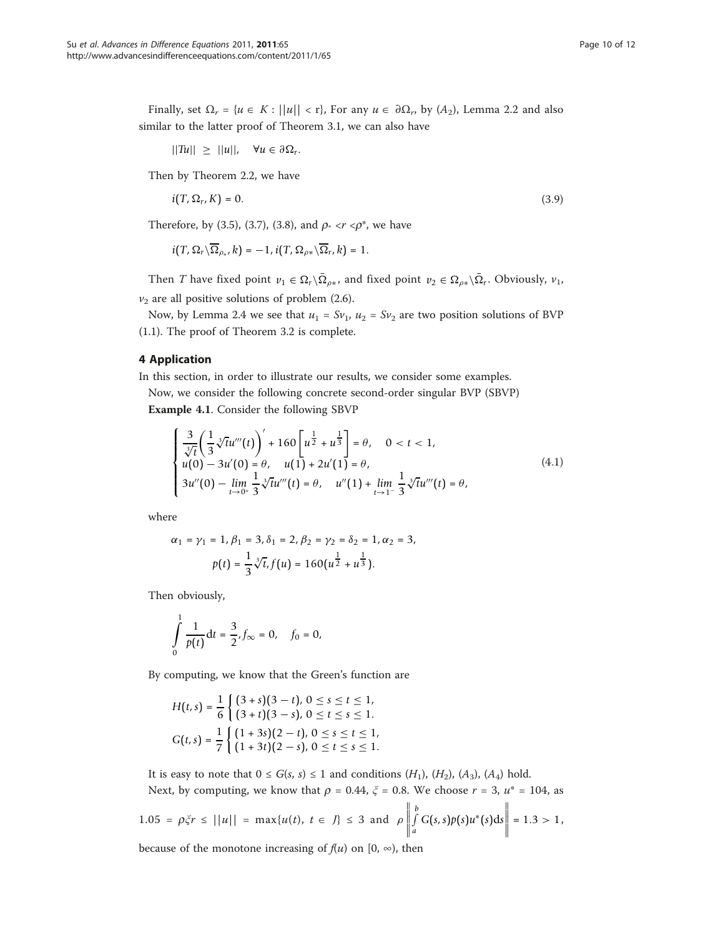Finally, set  $\Omega_r = \{u \in K : ||u|| < r\}$ , For any  $u \in \partial \Omega_r$ , by  $(A_2)$ , Lemma 2.2 and also similar to the latter proof of Theorem 3.1, we can also have

$$
||Tu|| \ge ||u||, \quad \forall u \in \partial \Omega_r.
$$

Then by Theorem 2.2, we have

$$
i(T, \Omega_T, K) = 0. \tag{3.9}
$$

Therefore, by (3.5), (3.7), (3.8), and  $\rho^* \le r \le \rho^*$ , we have

$$
i(T,\Omega_r\backslash\overline{\Omega}_{\rho_*},k)=-1, i(T,\Omega_{\rho*}\backslash\overline{\Omega}_r,k)=1.
$$

Then *T* have fixed point  $v_1 \in \Omega_r \setminus \overline{\Omega}_{\rho *}$ , and fixed point  $v_2 \in \Omega_{\rho *} \setminus \overline{\Omega}_r$ . Obviously,  $v_1$ ,  $v_2$  are all positive solutions of problem (2.6).

Now, by Lemma 2.4 we see that  $u_1 = Sv_1$ ,  $u_2 = Sv_2$  are two position solutions of BVP (1.1). The proof of Theorem 3.2 is complete.

## 4 Application

In this section, in order to illustrate our results, we consider some examples.

Now, we consider the following concrete second-order singular BVP (SBVP) Example 4.1. Consider the following SBVP

$$
\begin{cases} \frac{3}{\sqrt[3]{t}} \left( \frac{1}{3} \sqrt[3]{t} u'''(t) \right)' + 160 \left[ u^{\frac{1}{2}} + u^{\frac{1}{3}} \right] = \theta, \quad 0 < t < 1, \\ u(0) - 3u'(0) = \theta, \quad u(1) + 2u'(1) = \theta, \\ 3u''(0) - \lim_{t \to 0^+} \frac{1}{3} \sqrt[3]{t} u'''(t) = \theta, \quad u''(1) + \lim_{t \to 1^-} \frac{1}{3} \sqrt[3]{t} u'''(t) = \theta, \end{cases} \tag{4.1}
$$

where

$$
\alpha_1 = \gamma_1 = 1, \beta_1 = 3, \delta_1 = 2, \beta_2 = \gamma_2 = \delta_2 = 1, \alpha_2 = 3, \np(t) = \frac{1}{3} \sqrt[3]{t}, f(u) = 160(u^{\frac{1}{2}} + u^{\frac{1}{3}}).
$$

Then obviously,

$$
\int_{0}^{1} \frac{1}{p(t)} dt = \frac{3}{2}, f_{\infty} = 0, \quad f_0 = 0,
$$

By computing, we know that the Green's function are

$$
H(t,s) = \frac{1}{6} \begin{cases} (3+s)(3-t), 0 \le s \le t \le 1, \\ (3+t)(3-s), 0 \le t \le s \le 1. \end{cases}
$$
  

$$
G(t,s) = \frac{1}{7} \begin{cases} (1+3s)(2-t), 0 \le s \le t \le 1, \\ (1+3t)(2-s), 0 \le t \le s \le 1. \end{cases}
$$

It is easy to note that  $0 \le G(s, s) \le 1$  and conditions  $(H_1)$ ,  $(H_2)$ ,  $(A_3)$ ,  $(A_4)$  hold.

Next, by computing, we know that  $\rho = 0.44$ ,  $\xi = 0.8$ . We choose  $r = 3$ ,  $u^* = 104$ , as

$$
1.05 = \rho \xi r \le ||u|| = \max\{u(t), \ t \in J\} \le 3 \text{ and } \rho \left\| \int_a^b G(s,s) p(s) u^*(s) ds \right\| = 1.3 > 1,
$$

because of the monotone increasing of  $f(u)$  on  $[0, \infty)$ , then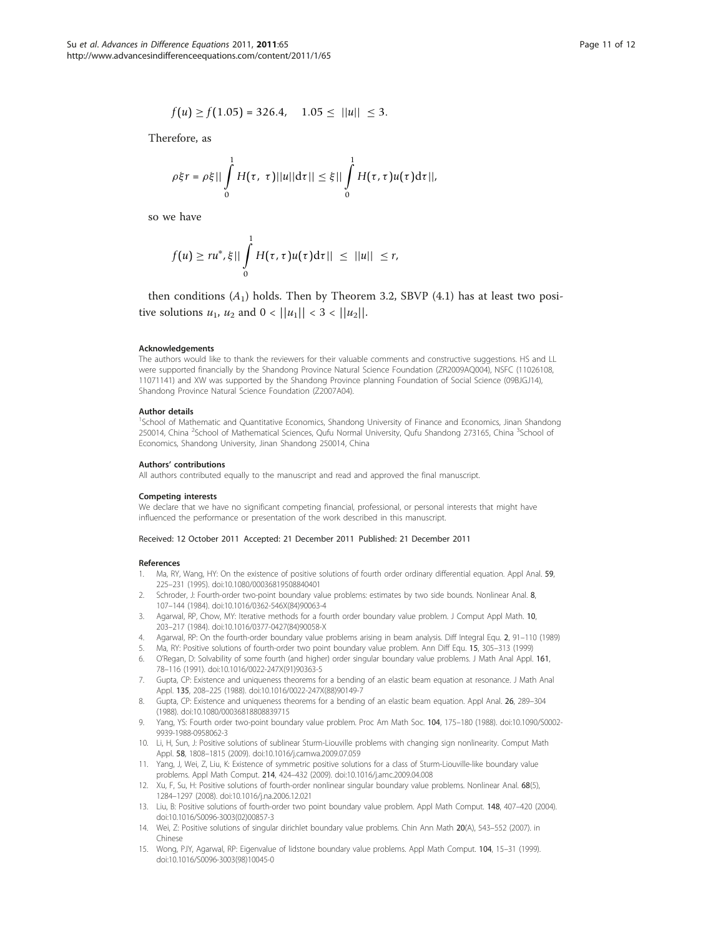$$
f(u) \ge f(1.05) = 326.4, \quad 1.05 \le ||u|| \le 3.
$$

<span id="page-10-0"></span>Therefore, as

$$
\rho\xi r = \rho\xi||\int\limits_0^1 H(\tau, \tau)||u||d\tau|| \leq \xi||\int\limits_0^1 H(\tau, \tau)u(\tau)d\tau||,
$$

so we have

$$
f(u)\geq ru^*,\xi||\int\limits_0^1H(\tau,\tau)u(\tau)d\tau||\leq||u||\leq r,
$$

then conditions  $(A_1)$  holds. Then by Theorem 3.2, SBVP  $(4.1)$  has at least two positive solutions  $u_1$ ,  $u_2$  and  $0 < ||u_1|| < 3 < ||u_2||$ .

#### Acknowledgements

The authors would like to thank the reviewers for their valuable comments and constructive suggestions. HS and LL were supported financially by the Shandong Province Natural Science Foundation (ZR2009AQ004), NSFC (11026108, 11071141) and XW was supported by the Shandong Province planning Foundation of Social Science (09BJGJ14), Shandong Province Natural Science Foundation (Z2007A04).

#### Author details

<sup>1</sup>School of Mathematic and Quantitative Economics, Shandong University of Finance and Economics, Jinan Shandong 250014, China <sup>2</sup>School of Mathematical Sciences, Qufu Normal University, Qufu Shandong 273165, China <sup>3</sup>School of Economics, Shandong University, Jinan Shandong 250014, China

#### Authors' contributions

All authors contributed equally to the manuscript and read and approved the final manuscript.

#### Competing interests

We declare that we have no significant competing financial, professional, or personal interests that might have influenced the performance or presentation of the work described in this manuscript.

#### Received: 12 October 2011 Accepted: 21 December 2011 Published: 21 December 2011

#### References

- 1. Ma, RY, Wang, HY: On the existence of positive solutions of fourth order ordinary differential equation. Appl Anal. 59, 225–231 (1995). doi:10.1080/00036819508840401
- 2. Schroder, J: Fourth-order two-point boundary value problems: estimates by two side bounds. Nonlinear Anal. 8, 107–144 (1984). doi:10.1016/0362-546X(84)90063-4
- 3. Agarwal, RP, Chow, MY: Iterative methods for a fourth order boundary value problem. J Comput Appl Math. 10, 203–217 (1984). doi:10.1016/0377-0427(84)90058-X
- 4. Agarwal, RP: On the fourth-order boundary value problems arising in beam analysis. Diff Integral Equ. 2, 91–110 (1989)
- 5. Ma, RY: Positive solutions of fourth-order two point boundary value problem. Ann Diff Equ. 15, 305–313 (1999)
- 6. O'Regan, D: Solvability of some fourth (and higher) order singular boundary value problems. J Math Anal Appl. 161, 78–116 (1991). doi:10.1016/0022-247X(91)90363-5
- Gupta, CP: Existence and uniqueness theorems for a bending of an elastic beam equation at resonance. J Math Anal Appl. 135, 208–225 (1988). doi:10.1016/0022-247X(88)90149-7
- 8. Gupta, CP: Existence and uniqueness theorems for a bending of an elastic beam equation. Appl Anal. 26, 289–304 (1988). doi:10.1080/00036818808839715
- 9. Yang, YS: Fourth order two-point boundary value problem. Proc Am Math Soc. 104, 175–180 (1988). doi:10.1090/S0002- 9939-1988-0958062-3
- 10. Li, H, Sun, J: Positive solutions of sublinear Sturm-Liouville problems with changing sign nonlinearity. Comput Math Appl. 58, 1808–1815 (2009). doi:10.1016/j.camwa.2009.07.059
- 11. Yang, J, Wei, Z, Liu, K: Existence of symmetric positive solutions for a class of Sturm-Liouville-like boundary value problems. Appl Math Comput. 214, 424–432 (2009). doi:10.1016/j.amc.2009.04.008
- 12. Xu, F, Su, H: Positive solutions of fourth-order nonlinear singular boundary value problems. Nonlinear Anal. 68(5), 1284–1297 (2008). doi:10.1016/j.na.2006.12.021
- 13. Liu, B: Positive solutions of fourth-order two point boundary value problem. Appl Math Comput. 148, 407–420 (2004). doi:10.1016/S0096-3003(02)00857-3
- 14. Wei, Z: Positive solutions of singular dirichlet boundary value problems. Chin Ann Math 20(A), 543–552 (2007). in Chinese
- 15. Wong, PJY, Agarwal, RP: Eigenvalue of lidstone boundary value problems. Appl Math Comput. 104, 15–31 (1999). doi:10.1016/S0096-3003(98)10045-0